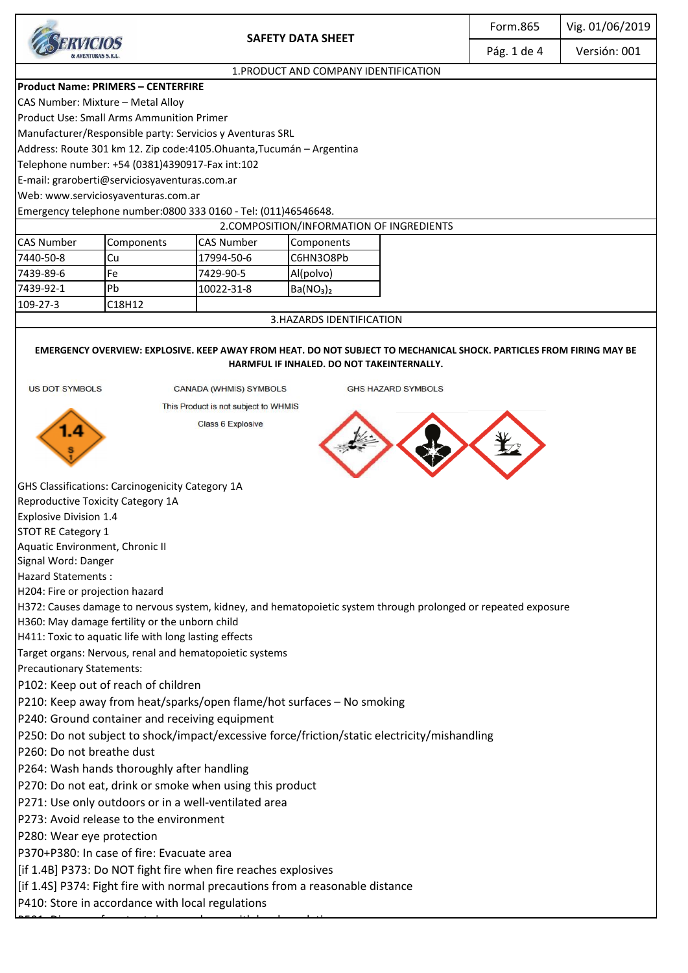|                                                                                                                                                                    |                                                                |                          |                                                                               | Form.865 | Vig. 01/06/2019 |              |
|--------------------------------------------------------------------------------------------------------------------------------------------------------------------|----------------------------------------------------------------|--------------------------|-------------------------------------------------------------------------------|----------|-----------------|--------------|
|                                                                                                                                                                    |                                                                | <b>SAFETY DATA SHEET</b> |                                                                               |          | Pág. 1 de 4     | Versión: 001 |
| 1. PRODUCT AND COMPANY IDENTIFICATION                                                                                                                              |                                                                |                          |                                                                               |          |                 |              |
| <b>Product Name: PRIMERS - CENTERFIRE</b>                                                                                                                          |                                                                |                          |                                                                               |          |                 |              |
| CAS Number: Mixture - Metal Alloy                                                                                                                                  |                                                                |                          |                                                                               |          |                 |              |
| <b>Product Use: Small Arms Ammunition Primer</b>                                                                                                                   |                                                                |                          |                                                                               |          |                 |              |
| Manufacturer/Responsible party: Servicios y Aventuras SRL                                                                                                          |                                                                |                          |                                                                               |          |                 |              |
| Address: Route 301 km 12. Zip code:4105.Ohuanta, Tucumán - Argentina                                                                                               |                                                                |                          |                                                                               |          |                 |              |
| Telephone number: +54 (0381)4390917-Fax int:102                                                                                                                    |                                                                |                          |                                                                               |          |                 |              |
| E-mail: graroberti@serviciosyaventuras.com.ar                                                                                                                      |                                                                |                          |                                                                               |          |                 |              |
| Web: www.serviciosyaventuras.com.ar                                                                                                                                |                                                                |                          |                                                                               |          |                 |              |
| Emergency telephone number:0800 333 0160 - Tel: (011)46546648.                                                                                                     |                                                                |                          |                                                                               |          |                 |              |
| 2. COMPOSITION/INFORMATION OF INGREDIENTS                                                                                                                          |                                                                |                          |                                                                               |          |                 |              |
| <b>CAS Number</b>                                                                                                                                                  | Components                                                     | <b>CAS Number</b>        | Components                                                                    |          |                 |              |
| 7440-50-8                                                                                                                                                          | Cu                                                             | 17994-50-6               | C6HN3O8Pb                                                                     |          |                 |              |
| 7439-89-6                                                                                                                                                          | Fe                                                             | 7429-90-5                | Al(polvo)                                                                     |          |                 |              |
| 7439-92-1                                                                                                                                                          | Pb                                                             | 10022-31-8               | Ba(NO <sub>3</sub> ) <sub>2</sub>                                             |          |                 |              |
| 109-27-3                                                                                                                                                           | C18H12                                                         |                          |                                                                               |          |                 |              |
| 3.HAZARDS IDENTIFICATION                                                                                                                                           |                                                                |                          |                                                                               |          |                 |              |
|                                                                                                                                                                    |                                                                |                          |                                                                               |          |                 |              |
| EMERGENCY OVERVIEW: EXPLOSIVE. KEEP AWAY FROM HEAT. DO NOT SUBJECT TO MECHANICAL SHOCK. PARTICLES FROM FIRING MAY BE<br>HARMFUL IF INHALED. DO NOT TAKEINTERNALLY. |                                                                |                          |                                                                               |          |                 |              |
| <b>US DOT SYMBOLS</b><br>CANADA (WHMIS) SYMBOLS<br><b>GHS HAZARD SYMBOLS</b>                                                                                       |                                                                |                          |                                                                               |          |                 |              |
| This Product is not subject to WHMIS                                                                                                                               |                                                                |                          |                                                                               |          |                 |              |
| <b>Class 6 Explosive</b>                                                                                                                                           |                                                                |                          |                                                                               |          |                 |              |
| 1.4                                                                                                                                                                |                                                                |                          |                                                                               |          |                 |              |
|                                                                                                                                                                    |                                                                |                          |                                                                               |          |                 |              |
|                                                                                                                                                                    |                                                                |                          |                                                                               |          |                 |              |
| GHS Classifications: Carcinogenicity Category 1A                                                                                                                   |                                                                |                          |                                                                               |          |                 |              |
| <b>Reproductive Toxicity Category 1A</b>                                                                                                                           |                                                                |                          |                                                                               |          |                 |              |
| <b>Explosive Division 1.4</b>                                                                                                                                      |                                                                |                          |                                                                               |          |                 |              |
| <b>STOT RE Category 1</b>                                                                                                                                          |                                                                |                          |                                                                               |          |                 |              |
| Aquatic Environment, Chronic II                                                                                                                                    |                                                                |                          |                                                                               |          |                 |              |
| Signal Word: Danger                                                                                                                                                |                                                                |                          |                                                                               |          |                 |              |
| <b>Hazard Statements:</b>                                                                                                                                          |                                                                |                          |                                                                               |          |                 |              |
| H204: Fire or projection hazard                                                                                                                                    |                                                                |                          |                                                                               |          |                 |              |
| H372: Causes damage to nervous system, kidney, and hematopoietic system through prolonged or repeated exposure                                                     |                                                                |                          |                                                                               |          |                 |              |
| H360: May damage fertility or the unborn child                                                                                                                     |                                                                |                          |                                                                               |          |                 |              |
| H411: Toxic to aquatic life with long lasting effects                                                                                                              |                                                                |                          |                                                                               |          |                 |              |
| Target organs: Nervous, renal and hematopoietic systems                                                                                                            |                                                                |                          |                                                                               |          |                 |              |
| <b>Precautionary Statements:</b>                                                                                                                                   |                                                                |                          |                                                                               |          |                 |              |
| P102: Keep out of reach of children                                                                                                                                |                                                                |                          |                                                                               |          |                 |              |
| P210: Keep away from heat/sparks/open flame/hot surfaces - No smoking                                                                                              |                                                                |                          |                                                                               |          |                 |              |
| P240: Ground container and receiving equipment                                                                                                                     |                                                                |                          |                                                                               |          |                 |              |
| P250: Do not subject to shock/impact/excessive force/friction/static electricity/mishandling                                                                       |                                                                |                          |                                                                               |          |                 |              |
| P260: Do not breathe dust                                                                                                                                          |                                                                |                          |                                                                               |          |                 |              |
| P264: Wash hands thoroughly after handling                                                                                                                         |                                                                |                          |                                                                               |          |                 |              |
|                                                                                                                                                                    |                                                                |                          |                                                                               |          |                 |              |
| P270: Do not eat, drink or smoke when using this product                                                                                                           |                                                                |                          |                                                                               |          |                 |              |
| P271: Use only outdoors or in a well-ventilated area                                                                                                               |                                                                |                          |                                                                               |          |                 |              |
| P273: Avoid release to the environment                                                                                                                             |                                                                |                          |                                                                               |          |                 |              |
| P280: Wear eye protection                                                                                                                                          |                                                                |                          |                                                                               |          |                 |              |
| P370+P380: In case of fire: Evacuate area                                                                                                                          |                                                                |                          |                                                                               |          |                 |              |
|                                                                                                                                                                    | [if 1.4B] P373: Do NOT fight fire when fire reaches explosives |                          |                                                                               |          |                 |              |
|                                                                                                                                                                    |                                                                |                          | [if 1.4S] P374: Fight fire with normal precautions from a reasonable distance |          |                 |              |
|                                                                                                                                                                    | P410: Store in accordance with local regulations               |                          |                                                                               |          |                 |              |
|                                                                                                                                                                    |                                                                |                          |                                                                               |          |                 |              |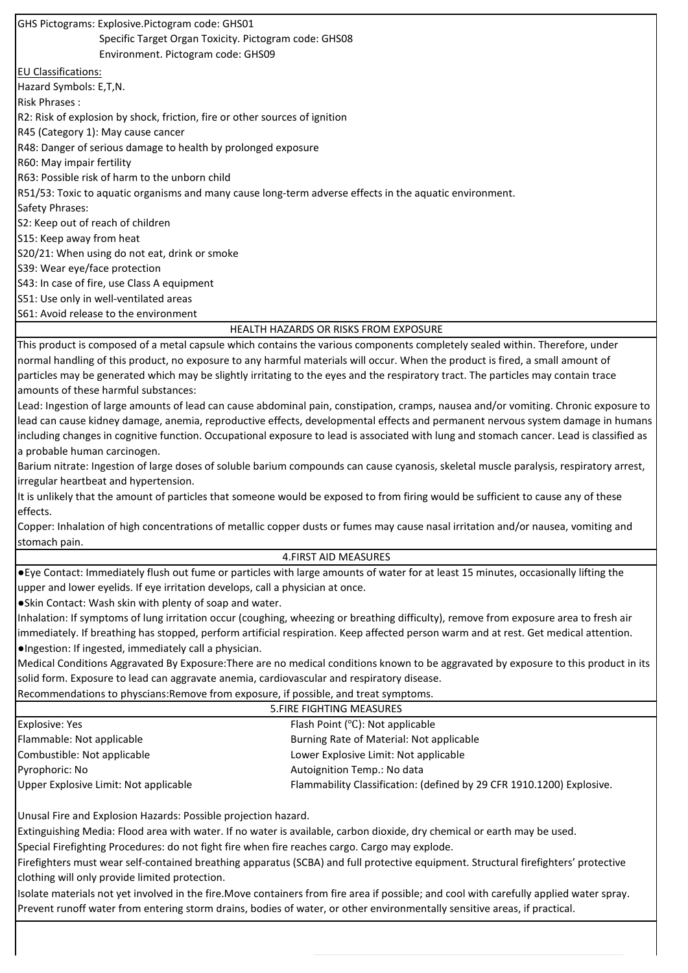5.FIRE FIGHTING MEASURES GHS Pictograms: Explosive.Pictogram code: GHS01 Specific Target Organ Toxicity. Pictogram code: GHS08 Environment. Pictogram code: GHS09 EU Classifications: Hazard Symbols: E,T,N. Risk Phrases : R2: Risk of explosion by shock, friction, fire or other sources of ignition R45 (Category 1): May cause cancer R48: Danger of serious damage to health by prolonged exposure R60: May impair fertility R63: Possible risk of harm to the unborn child R51/53: Toxic to aquatic organisms and many cause long-term adverse effects in the aquatic environment. Safety Phrases: S2: Keep out of reach of children S15: Keep away from heat S20/21: When using do not eat, drink or smoke S39: Wear eye/face protection S43: In case of fire, use Class A equipment S51: Use only in well-ventilated areas S61: Avoid release to the environment HEALTH HAZARDS OR RISKS FROM EXPOSURE This product is composed of a metal capsule which contains the various components completely sealed within. Therefore, under normal handling of this product, no exposure to any harmful materials will occur. When the product is fired, a small amount of particles may be generated which may be slightly irritating to the eyes and the respiratory tract. The particles may contain trace amounts of these harmful substances: Lead: Ingestion of large amounts of lead can cause abdominal pain, constipation, cramps, nausea and/or vomiting. Chronic exposure to lead can cause kidney damage, anemia, reproductive effects, developmental effects and permanent nervous system damage in humans including changes in cognitive function. Occupational exposure to lead is associated with lung and stomach cancer. Lead is classified as a probable human carcinogen. Barium nitrate: Ingestion of large doses of soluble barium compounds can cause cyanosis, skeletal muscle paralysis, respiratory arrest, irregular heartbeat and hypertension. It is unlikely that the amount of particles that someone would be exposed to from firing would be sufficient to cause any of these effects. Copper: Inhalation of high concentrations of metallic copper dusts or fumes may cause nasal irritation and/or nausea, vomiting and stomach pain. 4.FIRST AID MEASURES ●Eye Contact: Immediately flush out fume or particles with large amounts of water for at least 15 minutes, occasionally lifting the upper and lower eyelids. If eye irritation develops, call a physician at once. ●Skin Contact: Wash skin with plenty of soap and water. Inhalation: If symptoms of lung irritation occur (coughing, wheezing or breathing difficulty), remove from exposure area to fresh air immediately. If breathing has stopped, perform artificial respiration. Keep affected person warm and at rest. Get medical attention. ●Ingestion: If ingested, immediately call a physician. Medical Conditions Aggravated By Exposure:There are no medical conditions known to be aggravated by exposure to this product in its solid form. Exposure to lead can aggravate anemia, cardiovascular and respiratory disease. Recommendations to physcians:Remove from exposure, if possible, and treat symptoms. Explosive: Yes Flammable: Not applicable Combustible: Not applicable Pyrophoric: No Upper Explosive Limit: Not applicable Flash Point (℃): Not applicable Burning Rate of Material: Not applicable Lower Explosive Limit: Not applicable Autoignition Temp.: No data Flammability Classification: (defined by 29 CFR 1910.1200) Explosive. Unusal Fire and Explosion Hazards: Possible projection hazard. Extinguishing Media: Flood area with water. If no water is available, carbon dioxide, dry chemical or earth may be used. Special Firefighting Procedures: do not fight fire when fire reaches cargo. Cargo may explode.

Firefighters must wear self-contained breathing apparatus (SCBA) and full protective equipment. Structural firefighters' protective clothing will only provide limited protection.

Isolate materials not yet involved in the fire.Move containers from fire area if possible; and cool with carefully applied water spray. Prevent runoff water from entering storm drains, bodies of water, or other environmentally sensitive areas, if practical.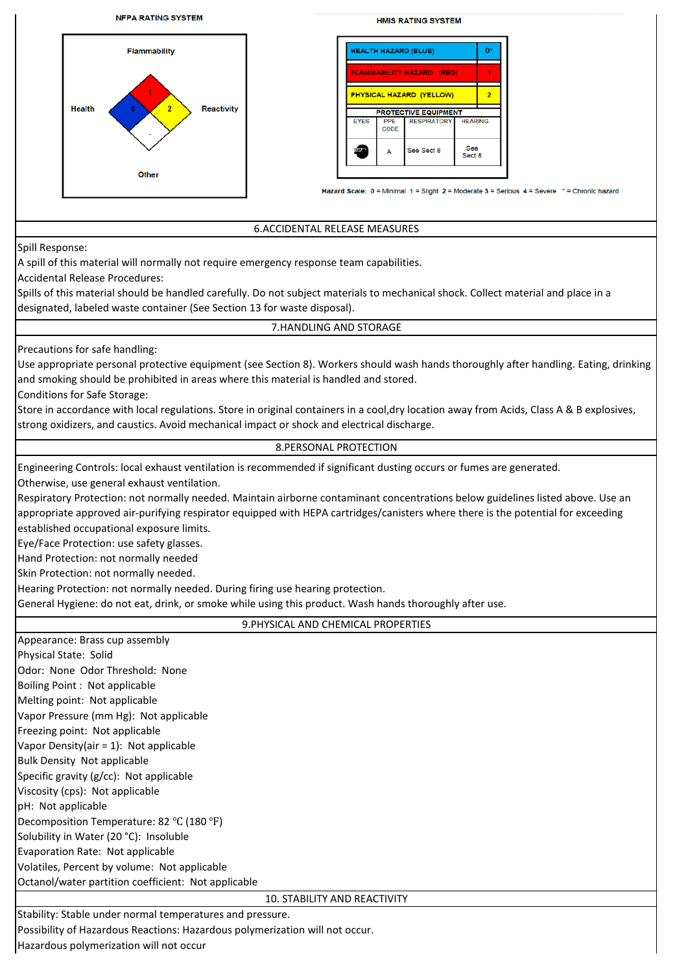

Hazardous polymerization will not occur